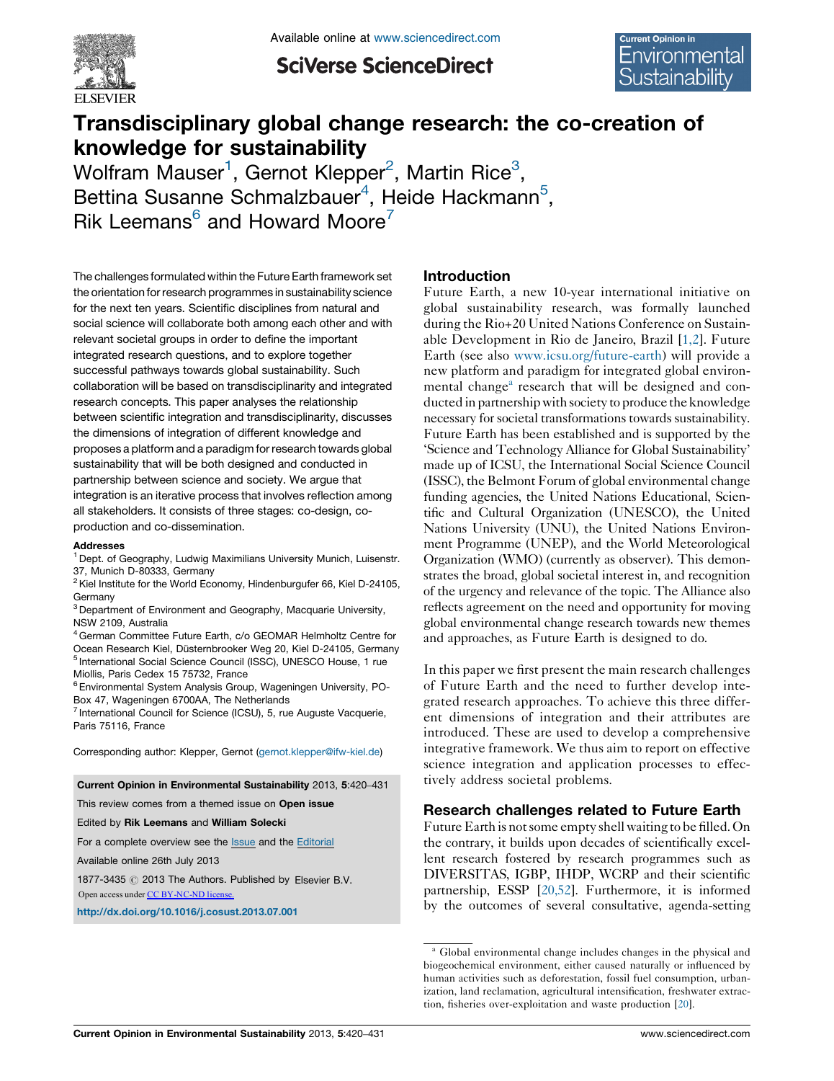

**SciVerse ScienceDirect** 



# Transdisciplinary global change research: the co-creation of knowledge for sustainability

Wolfram Mauser<sup>1</sup>, Gernot Klepper<sup>2</sup>, Martin Rice<sup>3</sup>, Bettina Susanne Schmalzbauer<sup>4</sup>, Heide Hackmann<sup>5</sup>, Rik Leemans $6$  and Howard Moore<sup>7</sup>

The challenges formulated within the Future Earth framework set the orientation forresearch programmes in sustainability science for the next ten years. Scientific disciplines from natural and social science will collaborate both among each other and with relevant societal groups in order to define the important integrated research questions, and to explore together successful pathways towards global sustainability. Such collaboration will be based on transdisciplinarity and integrated research concepts. This paper analyses the relationship between scientific integration and transdisciplinarity, discusses the dimensions of integration of different knowledge and proposes a platform and a paradigm for research towards global sustainability that will be both designed and conducted in partnership between science and society. We argue that integration is an iterative process that involves reflection among all stakeholders. It consists of three stages: co-design, coproduction and co-dissemination.

#### **Addresses**

<sup>1</sup> Dept. of Geography, Ludwig Maximilians University Munich, Luisenstr. 37, Munich D-80333, Germany

 $2$  Kiel Institute for the World Economy, Hindenburgufer 66, Kiel D-24105, **Germany** 

<sup>3</sup> Department of Environment and Geography, Macquarie University, NSW 2109, Australia

<sup>4</sup> German Committee Future Earth, c/o GEOMAR Helmholtz Centre for Ocean Research Kiel, Düsternbrooker Weg 20, Kiel D-24105, Germany <sup>5</sup> International Social Science Council (ISSC), UNESCO House, 1 rue Miollis, Paris Cedex 15 75732, France

6Environmental System Analysis Group, Wageningen University, PO-Box 47, Wageningen 6700AA, The Netherlands

 $7$  International Council for Science (ICSU), 5, rue Auguste Vacquerie, Paris 75116, France

Corresponding author: Klepper, Gernot [\(gernot.klepper@ifw-kiel.de](gernot.klepper@ifw-kiel.de))

Current Opinion in Environmental Sustainability 2013, 5:420–431

This review comes from a themed issue on Open issue

Edited by Rik Leemans and William Solecki

For a complete overview see the [Issue](http://www.sciencedirect.com/science/journal/18773435/5/3-4) and the [Editorial](http://dx.doi.org/10.1016/j.cosust.2013.07.006)

Available online 26th July 2013

1877-3435 @ 2013 The Authors. Published by Elsevier B.V. Open access under [CC BY-NC-ND license.](http://creativecommons.org/licenses/by-nc-nd/3.0/)

<http://dx.doi.org/10.1016/j.cosust.2013.07.001>

# Introduction

Future Earth, a new 10-year international initiative on global sustainability research, was formally launched during the Rio+20 United Nations Conference on Sustainable Development in Rio de Janeiro, Brazil [\[1,2\]](#page-9-0). Future Earth (see also [www.icsu.org/future-earth](http://www.icsu.org/future-earth)) will provide a new platform and paradigm for integrated global environmental change<sup>a</sup> research that will be designed and conducted in partnership with society to produce the knowledge necessary for societal transformations towards sustainability. Future Earth has been established and is supported by the 'Science and Technology Alliance for Global Sustainability' made up of ICSU, the International Social Science Council (ISSC), the Belmont Forum of global environmental change funding agencies, the United Nations Educational, Scientific and Cultural Organization (UNESCO), the United Nations University (UNU), the United Nations Environment Programme (UNEP), and the World Meteorological Organization (WMO) (currently as observer). This demonstrates the broad, global societal interest in, and recognition of the urgency and relevance of the topic. The Alliance also reflects agreement on the need and opportunity for moving global environmental change research towards new themes and approaches, as Future Earth is designed to do.

In this paper we first present the main research challenges of Future Earth and the need to further develop integrated research approaches. To achieve this three different dimensions of integration and their attributes are introduced. These are used to develop a comprehensive integrative framework. We thus aim to report on effective science integration and application processes to effectively address societal problems.

## Research challenges related to Future Earth

Future Earth is not some empty shell waiting to be filled. On the contrary, it builds upon decades of scientifically excellent research fostered by research programmes such as DIVERSITAS, IGBP, IHDP, WCRP and their scientific partnership, ESSP [[20,52](#page-10-0)]. Furthermore, it is informed by the outcomes of several consultative, agenda-setting

<sup>&</sup>lt;sup>a</sup> Global environmental change includes changes in the physical and biogeochemical environment, either caused naturally or influenced by human activities such as deforestation, fossil fuel consumption, urbanization, land reclamation, agricultural intensification, freshwater extraction, fisheries over-exploitation and waste production [[20\]](#page-10-0).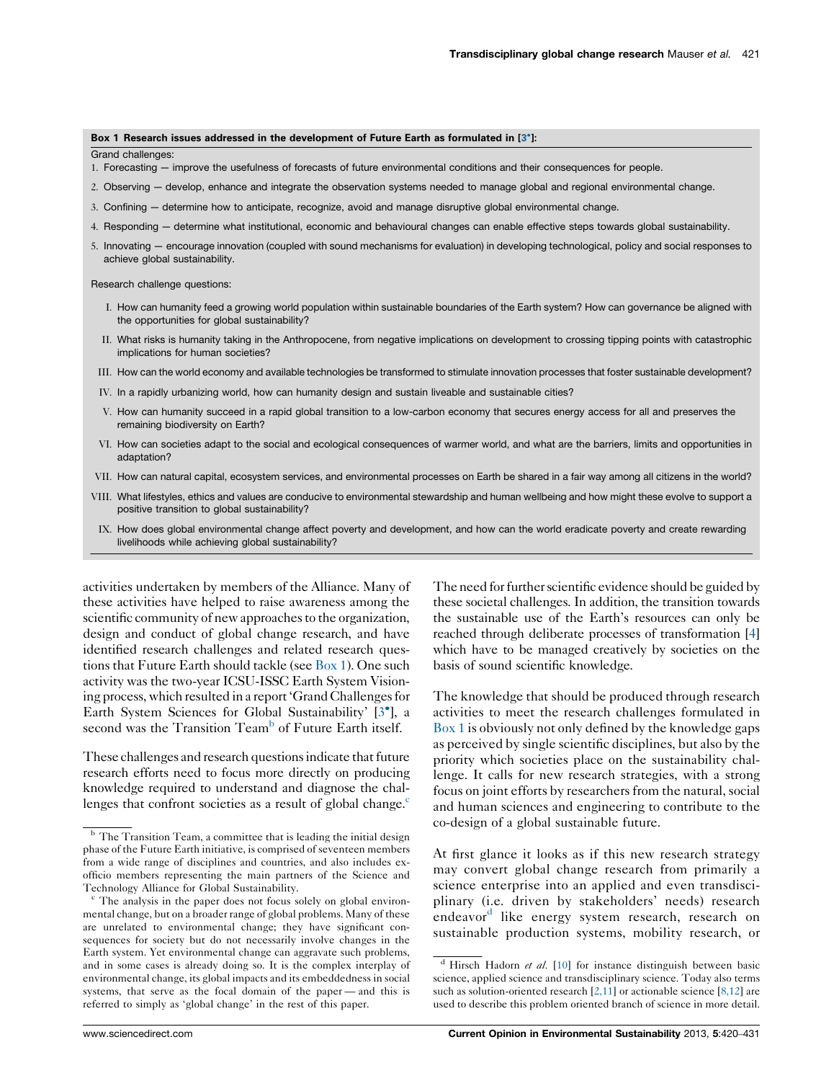#### <span id="page-1-0"></span>Box 1 Research issues addressed in the development of Future Earth as formulated in [\[3](#page-9-0)- ]:

Grand challenges:

- 1. Forecasting improve the usefulness of forecasts of future environmental conditions and their consequences for people.
- 2. Observing develop, enhance and integrate the observation systems needed to manage global and regional environmental change.
- 3. Confining determine how to anticipate, recognize, avoid and manage disruptive global environmental change.
- 4. Responding determine what institutional, economic and behavioural changes can enable effective steps towards global sustainability.
- 5. Innovating encourage innovation (coupled with sound mechanisms for evaluation) in developing technological, policy and social responses to achieve global sustainability.

Research challenge questions:

- I. How can humanity feed a growing world population within sustainable boundaries of the Earth system? How can governance be aligned with the opportunities for global sustainability?
- II. What risks is humanity taking in the Anthropocene, from negative implications on development to crossing tipping points with catastrophic implications for human societies?
- III. How can the world economy and available technologies be transformed to stimulate innovation processes that foster sustainable development?
- IV. In a rapidly urbanizing world, how can humanity design and sustain liveable and sustainable cities?
- V. How can humanity succeed in a rapid global transition to a low-carbon economy that secures energy access for all and preserves the remaining biodiversity on Earth?
- VI. How can societies adapt to the social and ecological consequences of warmer world, and what are the barriers, limits and opportunities in adaptation?
- VII. How can natural capital, ecosystem services, and environmental processes on Earth be shared in a fair way among all citizens in the world?
- VIII. What lifestyles, ethics and values are conducive to environmental stewardship and human wellbeing and how might these evolve to support a positive transition to global sustainability?
- IX. How does global environmental change affect poverty and development, and how can the world eradicate poverty and create rewarding livelihoods while achieving global sustainability?

activities undertaken by members of the Alliance. Many of these activities have helped to raise awareness among the scientific community of new approaches to the organization, design and conduct of global change research, and have identified research challenges and related research questions that Future Earth should tackle (see Box 1). One such activity was the two-year ICSU-ISSC Earth System Visioning process, which resulted in a report 'Grand Challenges for Earth System Sciences for Global Sustainability' [\[3](#page-9-0)<sup>°</sup>], a second was the Transition Team<sup>b</sup> of Future Earth itself.

These challenges and research questions indicate that future research efforts need to focus more directly on producing knowledge required to understand and diagnose the challenges that confront societies as a result of global change. $\degree$  The need for further scientific evidence should be guided by these societal challenges. In addition, the transition towards the sustainable use of the Earth's resources can only be reached through deliberate processes of transformation [\[4](#page-9-0)] which have to be managed creatively by societies on the basis of sound scientific knowledge.

The knowledge that should be produced through research activities to meet the research challenges formulated in Box 1 is obviously not only defined by the knowledge gaps as perceived by single scientific disciplines, but also by the priority which societies place on the sustainability challenge. It calls for new research strategies, with a strong focus on joint efforts by researchers from the natural, social and human sciences and engineering to contribute to the co-design of a global sustainable future.

At first glance it looks as if this new research strategy may convert global change research from primarily a science enterprise into an applied and even transdisciplinary (i.e. driven by stakeholders' needs) research endeavor<sup>d</sup> like energy system research, research on sustainable production systems, mobility research, or

 $<sup>b</sup>$  The Transition Team, a committee that is leading the initial design</sup> phase of the Future Earth initiative, is comprised of seventeen members from a wide range of disciplines and countries, and also includes exofficio members representing the main partners of the Science and Technology Alliance for Global Sustainability.<br><sup>c</sup> The analysis in the paper does not focus solely on global environ-

mental change, but on a broader range of global problems. Many of these are unrelated to environmental change; they have significant consequences for society but do not necessarily involve changes in the Earth system. Yet environmental change can aggravate such problems, and in some cases is already doing so. It is the complex interplay of environmental change, its global impacts and its embeddedness in social systems, that serve as the focal domain of the paper — and this is referred to simply as 'global change' in the rest of this paper.

 $\frac{d}{dx}$  Hirsch Hadorn et al. [\[10\]](#page-10-0) for instance distinguish between basic science, applied science and transdisciplinary science. Today also terms such as solution-oriented research  $[2,11]$  $[2,11]$  $[2,11]$  or actionable science  $[8,12]$  $[8,12]$  are used to describe this problem oriented branch of science in more detail.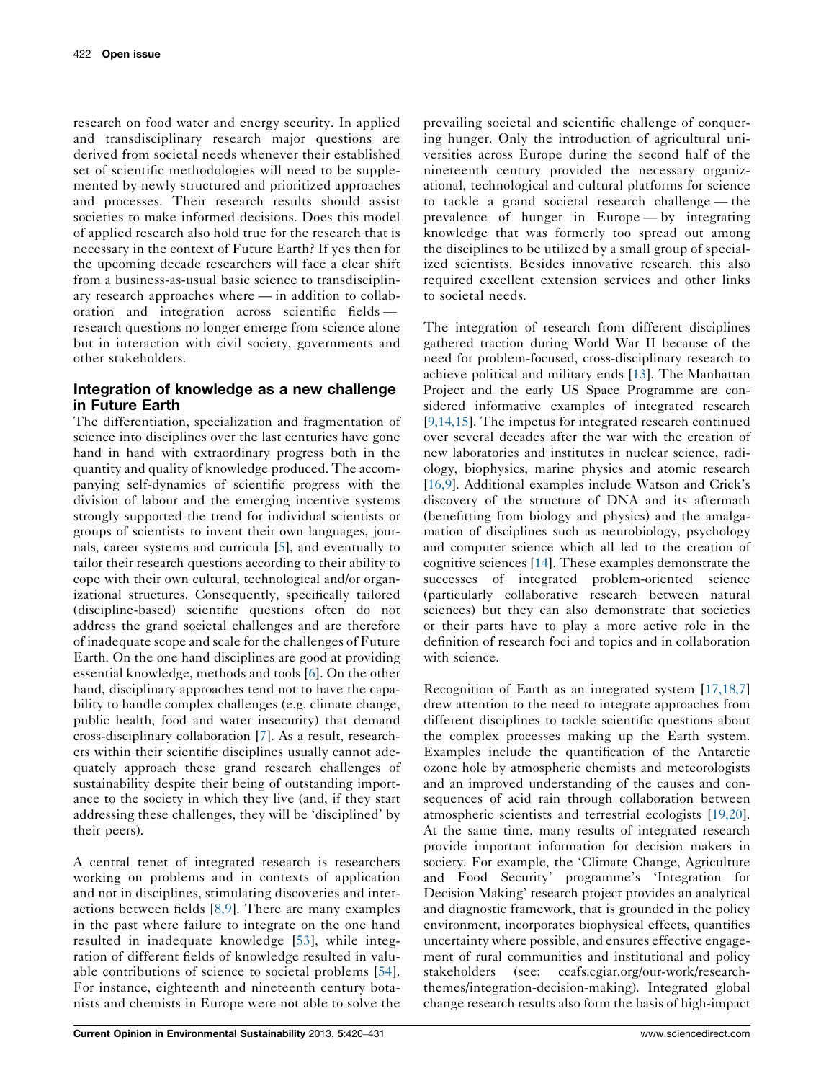research on food water and energy security. In applied and transdisciplinary research major questions are derived from societal needs whenever their established set of scientific methodologies will need to be supplemented by newly structured and prioritized approaches and processes. Their research results should assist societies to make informed decisions. Does this model of applied research also hold true for the research that is necessary in the context of Future Earth? If yes then for the upcoming decade researchers will face a clear shift from a business-as-usual basic science to transdisciplinary research approaches where — in addition to collaboration and integration across scientific fields research questions no longer emerge from science alone but in interaction with civil society, governments and other stakeholders.

# Integration of knowledge as a new challenge in Future Earth

The differentiation, specialization and fragmentation of science into disciplines over the last centuries have gone hand in hand with extraordinary progress both in the quantity and quality of knowledge produced. The accompanying self-dynamics of scientific progress with the division of labour and the emerging incentive systems strongly supported the trend for individual scientists or groups of scientists to invent their own languages, journals, career systems and curricula [[5\]](#page-9-0), and eventually to tailor their research questions according to their ability to cope with their own cultural, technological and/or organizational structures. Consequently, specifically tailored (discipline-based) scientific questions often do not address the grand societal challenges and are therefore of inadequate scope and scale for the challenges of Future Earth. On the one hand disciplines are good at providing essential knowledge, methods and tools [[6\]](#page-9-0). On the other hand, disciplinary approaches tend not to have the capability to handle complex challenges (e.g. climate change, public health, food and water insecurity) that demand cross-disciplinary collaboration [[7\]](#page-9-0). As a result, researchers within their scientific disciplines usually cannot adequately approach these grand research challenges of sustainability despite their being of outstanding importance to the society in which they live (and, if they start addressing these challenges, they will be 'disciplined' by their peers).

A central tenet of integrated research is researchers working on problems and in contexts of application and not in disciplines, stimulating discoveries and interactions between fields [[8,9](#page-9-0)]. There are many examples in the past where failure to integrate on the one hand resulted in inadequate knowledge [[53](#page-11-0)], while integration of different fields of knowledge resulted in valuable contributions of science to societal problems [[54](#page-11-0)]. For instance, eighteenth and nineteenth century botanists and chemists in Europe were not able to solve the prevailing societal and scientific challenge of conquering hunger. Only the introduction of agricultural universities across Europe during the second half of the nineteenth century provided the necessary organizational, technological and cultural platforms for science to tackle a grand societal research challenge — the prevalence of hunger in Europe — by integrating knowledge that was formerly too spread out among the disciplines to be utilized by a small group of specialized scientists. Besides innovative research, this also required excellent extension services and other links to societal needs.

The integration of research from different disciplines gathered traction during World War II because of the need for problem-focused, cross-disciplinary research to achieve political and military ends [[13\]](#page-10-0). The Manhattan Project and the early US Space Programme are considered informative examples of integrated research [\[9,14,15](#page-10-0)]. The impetus for integrated research continued over several decades after the war with the creation of new laboratories and institutes in nuclear science, radiology, biophysics, marine physics and atomic research [\[16,9\]](#page-10-0). Additional examples include Watson and Crick's discovery of the structure of DNA and its aftermath (benefitting from biology and physics) and the amalgamation of disciplines such as neurobiology, psychology and computer science which all led to the creation of cognitive sciences [[14\]](#page-10-0). These examples demonstrate the successes of integrated problem-oriented science (particularly collaborative research between natural sciences) but they can also demonstrate that societies or their parts have to play a more active role in the definition of research foci and topics and in collaboration with science.

Recognition of Earth as an integrated system [\[17,18,7\]](#page-10-0) drew attention to the need to integrate approaches from different disciplines to tackle scientific questions about the complex processes making up the Earth system. Examples include the quantification of the Antarctic ozone hole by atmospheric chemists and meteorologists and an improved understanding of the causes and consequences of acid rain through collaboration between atmospheric scientists and terrestrial ecologists [\[19,20](#page-10-0)]. At the same time, many results of integrated research provide important information for decision makers in society. For example, the 'Climate Change, Agriculture and Food Security' programme's 'Integration for Decision Making' research project provides an analytical and diagnostic framework, that is grounded in the policy environment, incorporates biophysical effects, quantifies uncertainty where possible, and ensures effective engagement of rural communities and institutional and policy stakeholders (see: ccafs.cgiar.org/our-work/researchthemes/integration-decision-making). Integrated global change research results also form the basis of high-impact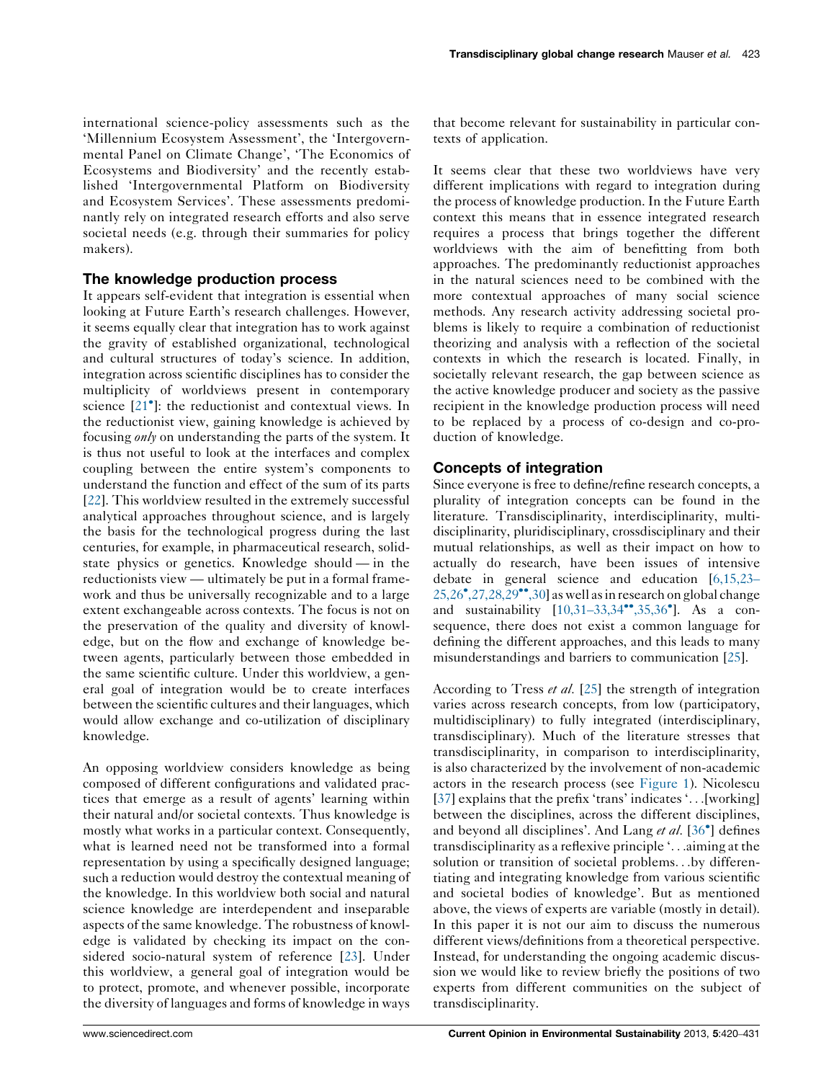international science-policy assessments such as the 'Millennium Ecosystem Assessment', the 'Intergovernmental Panel on Climate Change', 'The Economics of Ecosystems and Biodiversity' and the recently established 'Intergovernmental Platform on Biodiversity and Ecosystem Services'. These assessments predominantly rely on integrated research efforts and also serve societal needs (e.g. through their summaries for policy makers).

#### The knowledge production process

It appears self-evident that integration is essential when looking at Future Earth's research challenges. However, it seems equally clear that integration has to work against the gravity of established organizational, technological and cultural structures of today's science. In addition, integration across scientific disciplines has to consider the multiplicity of worldviews present in contemporary science [\[21](#page-10-0)<sup>°</sup>]: the reductionist and contextual views. In the reductionist view, gaining knowledge is achieved by focusing *only* on understanding the parts of the system. It is thus not useful to look at the interfaces and complex coupling between the entire system's components to understand the function and effect of the sum of its parts [\[22](#page-10-0)]. This worldview resulted in the extremely successful analytical approaches throughout science, and is largely the basis for the technological progress during the last centuries, for example, in pharmaceutical research, solidstate physics or genetics. Knowledge should — in the reductionists view — ultimately be put in a formal framework and thus be universally recognizable and to a large extent exchangeable across contexts. The focus is not on the preservation of the quality and diversity of knowledge, but on the flow and exchange of knowledge between agents, particularly between those embedded in the same scientific culture. Under this worldview, a general goal of integration would be to create interfaces between the scientific cultures and their languages, which would allow exchange and co-utilization of disciplinary knowledge.

An opposing worldview considers knowledge as being composed of different configurations and validated practices that emerge as a result of agents' learning within their natural and/or societal contexts. Thus knowledge is mostly what works in a particular context. Consequently, what is learned need not be transformed into a formal representation by using a specifically designed language; such a reduction would destroy the contextual meaning of the knowledge. In this worldview both social and natural science knowledge are interdependent and inseparable aspects of the same knowledge. The robustness of knowledge is validated by checking its impact on the considered socio-natural system of reference [[23\]](#page-10-0). Under this worldview, a general goal of integration would be to protect, promote, and whenever possible, incorporate the diversity of languages and forms of knowledge in ways

that become relevant for sustainability in particular contexts of application.

It seems clear that these two worldviews have very different implications with regard to integration during the process of knowledge production. In the Future Earth context this means that in essence integrated research requires a process that brings together the different worldviews with the aim of benefitting from both approaches. The predominantly reductionist approaches in the natural sciences need to be combined with the more contextual approaches of many social science methods. Any research activity addressing societal problems is likely to require a combination of reductionist theorizing and analysis with a reflection of the societal contexts in which the research is located. Finally, in societally relevant research, the gap between science as the active knowledge producer and society as the passive recipient in the knowledge production process will need to be replaced by a process of co-design and co-production of knowledge.

## Concepts of integration

Since everyone is free to define/refine research concepts, a plurality of integration concepts can be found in the literature. Transdisciplinarity, interdisciplinarity, multidisciplinarity, pluridisciplinary, crossdisciplinary and their mutual relationships, as well as their impact on how to actually do research, have been issues of intensive debate in general science and education [[6,15,23](#page-9-0)–  $25,26^{\bullet},27,28,29^{\bullet\bullet},30$  $25,26^{\bullet},27,28,29^{\bullet\bullet},30$  $25,26^{\bullet},27,28,29^{\bullet\bullet},30$  $25,26^{\bullet},27,28,29^{\bullet\bullet},30$ ] as well as in research on global change and sustainability [\[10,31](#page-10-0)-33,34\*\*[,35,36](#page-10-0)\*]. As a consequence, there does not exist a common language for defining the different approaches, and this leads to many misunderstandings and barriers to communication [\[25](#page-10-0)].

According to Tress et al. [\[25](#page-10-0)] the strength of integration varies across research concepts, from low (participatory, multidisciplinary) to fully integrated (interdisciplinary, transdisciplinary). Much of the literature stresses that transdisciplinarity, in comparison to interdisciplinarity, is also characterized by the involvement of non-academic actors in the research process (see [Figure](#page-4-0) 1). Nicolescu [[37](#page-10-0)] explains that the prefix 'trans' indicates '... [working] between the disciplines, across the different disciplines, and beyond all disciplines'. And Lang et al. [\[36](#page-10-0)<sup>°</sup>] defines transdisciplinarity as a reflexive principle '. . .aiming at the solution or transition of societal problems. . .by differentiating and integrating knowledge from various scientific and societal bodies of knowledge'. But as mentioned above, the views of experts are variable (mostly in detail). In this paper it is not our aim to discuss the numerous different views/definitions from a theoretical perspective. Instead, for understanding the ongoing academic discussion we would like to review briefly the positions of two experts from different communities on the subject of transdisciplinarity.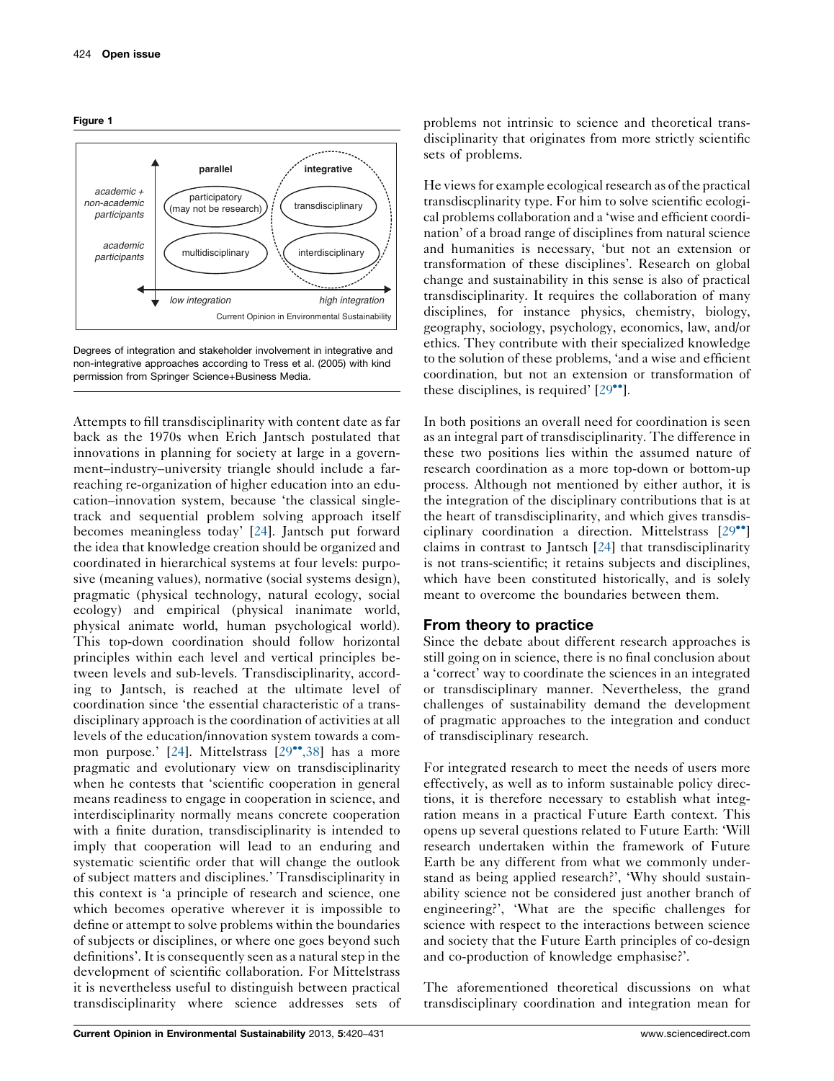<span id="page-4-0"></span>

Degrees of integration and stakeholder involvement in integrative and non-integrative approaches according to Tress et al. (2005) with kind permission from Springer Science+Business Media.

Attempts to fill transdisciplinarity with content date as far back as the 1970s when Erich Jantsch postulated that innovations in planning for society at large in a government–industry–university triangle should include a farreaching re-organization of higher education into an education–innovation system, because 'the classical singletrack and sequential problem solving approach itself becomes meaningless today' [[24\]](#page-10-0). Jantsch put forward the idea that knowledge creation should be organized and coordinated in hierarchical systems at four levels: purposive (meaning values), normative (social systems design), pragmatic (physical technology, natural ecology, social ecology) and empirical (physical inanimate world, physical animate world, human psychological world). This top-down coordination should follow horizontal principles within each level and vertical principles between levels and sub-levels. Transdisciplinarity, according to Jantsch, is reached at the ultimate level of coordination since 'the essential characteristic of a transdisciplinary approach is the coordination of activities at all levels of the education/innovation system towards a com-mon purpose.' [[24\]](#page-10-0). Mittelstrass [[29](#page-10-0)\*[,38\]](#page-10-0) has a more pragmatic and evolutionary view on transdisciplinarity when he contests that 'scientific cooperation in general means readiness to engage in cooperation in science, and interdisciplinarity normally means concrete cooperation with a finite duration, transdisciplinarity is intended to imply that cooperation will lead to an enduring and systematic scientific order that will change the outlook of subject matters and disciplines.' Transdisciplinarity in this context is 'a principle of research and science, one which becomes operative wherever it is impossible to define or attempt to solve problems within the boundaries of subjects or disciplines, or where one goes beyond such definitions'. It is consequently seen as a natural step in the development of scientific collaboration. For Mittelstrass it is nevertheless useful to distinguish between practical transdisciplinarity where science addresses sets of problems not intrinsic to science and theoretical transdisciplinarity that originates from more strictly scientific sets of problems.

He views for example ecological research as of the practical transdiscplinarity type. For him to solve scientific ecological problems collaboration and a 'wise and efficient coordination' of a broad range of disciplines from natural science and humanities is necessary, 'but not an extension or transformation of these disciplines'. Research on global change and sustainability in this sense is also of practical transdisciplinarity. It requires the collaboration of many disciplines, for instance physics, chemistry, biology, geography, sociology, psychology, economics, law, and/or ethics. They contribute with their specialized knowledge to the solution of these problems, 'and a wise and efficient coordination, but not an extension or transformation of these disciplines, is required'  $[29$ <sup>\*</sup>].

In both positions an overall need for coordination is seen as an integral part of transdisciplinarity. The difference in these two positions lies within the assumed nature of research coordination as a more top-down or bottom-up process. Although not mentioned by either author, it is the integration of the disciplinary contributions that is at the heart of transdisciplinarity, and which gives transdis-ciplinary coordination a direction. Mittelstrass [[29](#page-10-0)<sup>oo</sup>] claims in contrast to Jantsch [\[24](#page-10-0)] that transdisciplinarity is not trans-scientific; it retains subjects and disciplines, which have been constituted historically, and is solely meant to overcome the boundaries between them.

#### From theory to practice

Since the debate about different research approaches is still going on in science, there is no final conclusion about a 'correct' way to coordinate the sciences in an integrated or transdisciplinary manner. Nevertheless, the grand challenges of sustainability demand the development of pragmatic approaches to the integration and conduct of transdisciplinary research.

For integrated research to meet the needs of users more effectively, as well as to inform sustainable policy directions, it is therefore necessary to establish what integration means in a practical Future Earth context. This opens up several questions related to Future Earth: 'Will research undertaken within the framework of Future Earth be any different from what we commonly understand as being applied research?', 'Why should sustainability science not be considered just another branch of engineering?', 'What are the specific challenges for science with respect to the interactions between science and society that the Future Earth principles of co-design and co-production of knowledge emphasise?'.

The aforementioned theoretical discussions on what transdisciplinary coordination and integration mean for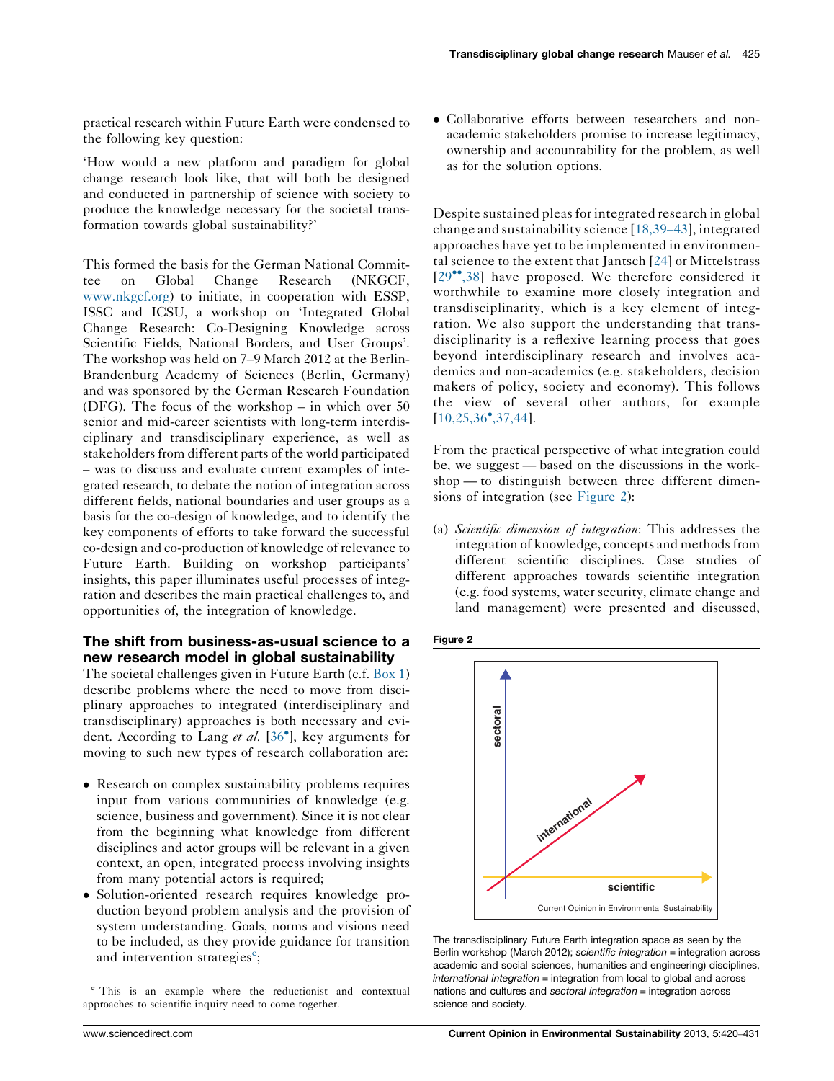practical research within Future Earth were condensed to the following key question:

'How would a new platform and paradigm for global change research look like, that will both be designed and conducted in partnership of science with society to produce the knowledge necessary for the societal transformation towards global sustainability?'

This formed the basis for the German National Committee on Global Change Research (NKGCF, [www.nkgcf.org\)](http://www.nkgcf.org/) to initiate, in cooperation with ESSP, ISSC and ICSU, a workshop on 'Integrated Global Change Research: Co-Designing Knowledge across Scientific Fields, National Borders, and User Groups'. The workshop was held on 7–9 March 2012 at the Berlin-Brandenburg Academy of Sciences (Berlin, Germany) and was sponsored by the German Research Foundation (DFG). The focus of the workshop – in which over 50 senior and mid-career scientists with long-term interdisciplinary and transdisciplinary experience, as well as stakeholders from different parts of the world participated – was to discuss and evaluate current examples of integrated research, to debate the notion of integration across different fields, national boundaries and user groups as a basis for the co-design of knowledge, and to identify the key components of efforts to take forward the successful co-design and co-production of knowledge of relevance to Future Earth. Building on workshop participants' insights, this paper illuminates useful processes of integration and describes the main practical challenges to, and opportunities of, the integration of knowledge.

#### The shift from business-as-usual science to a new research model in global sustainability

The societal challenges given in Future Earth (c.f. [Box](#page-1-0) 1) describe problems where the need to move from disciplinary approaches to integrated (interdisciplinary and transdisciplinary) approaches is both necessary and evi-dent. According to Lang et al. [[36](#page-10-0)<sup>°</sup>], key arguments for moving to such new types of research collaboration are:

- Research on complex sustainability problems requires input from various communities of knowledge (e.g. science, business and government). Since it is not clear from the beginning what knowledge from different disciplines and actor groups will be relevant in a given context, an open, integrated process involving insights from many potential actors is required;
- Solution-oriented research requires knowledge production beyond problem analysis and the provision of system understanding. Goals, norms and visions need to be included, as they provide guidance for transition and intervention strategies<sup>e</sup>;

- Collaborative efforts between researchers and nonacademic stakeholders promise to increase legitimacy, ownership and accountability for the problem, as well as for the solution options.

Despite sustained pleas for integrated research in global change and sustainability science [[18,39](#page-10-0)–43], integrated approaches have yet to be implemented in environmental science to the extent that Jantsch [\[24\]](#page-10-0) or Mittelstrass [[29](#page-10-0)\*\*[,38\]](#page-10-0) have proposed. We therefore considered it worthwhile to examine more closely integration and transdisciplinarity, which is a key element of integration. We also support the understanding that transdisciplinarity is a reflexive learning process that goes beyond interdisciplinary research and involves academics and non-academics (e.g. stakeholders, decision makers of policy, society and economy). This follows the view of several other authors, for example  $[10, 25, 36^{\circ}, 37, 44]$ .

From the practical perspective of what integration could be, we suggest — based on the discussions in the workshop — to distinguish between three different dimensions of integration (see Figure 2):

(a) Scientific dimension of integration: This addresses the integration of knowledge, concepts and methods from different scientific disciplines. Case studies of different approaches towards scientific integration (e.g. food systems, water security, climate change and land management) were presented and discussed,





The transdisciplinary Future Earth integration space as seen by the Berlin workshop (March 2012); scientific integration = integration across academic and social sciences, humanities and engineering) disciplines, international integration = integration from local to global and across nations and cultures and sectoral integration = integration across science and society.

<sup>e</sup> This is an example where the reductionist and contextual approaches to scientific inquiry need to come together.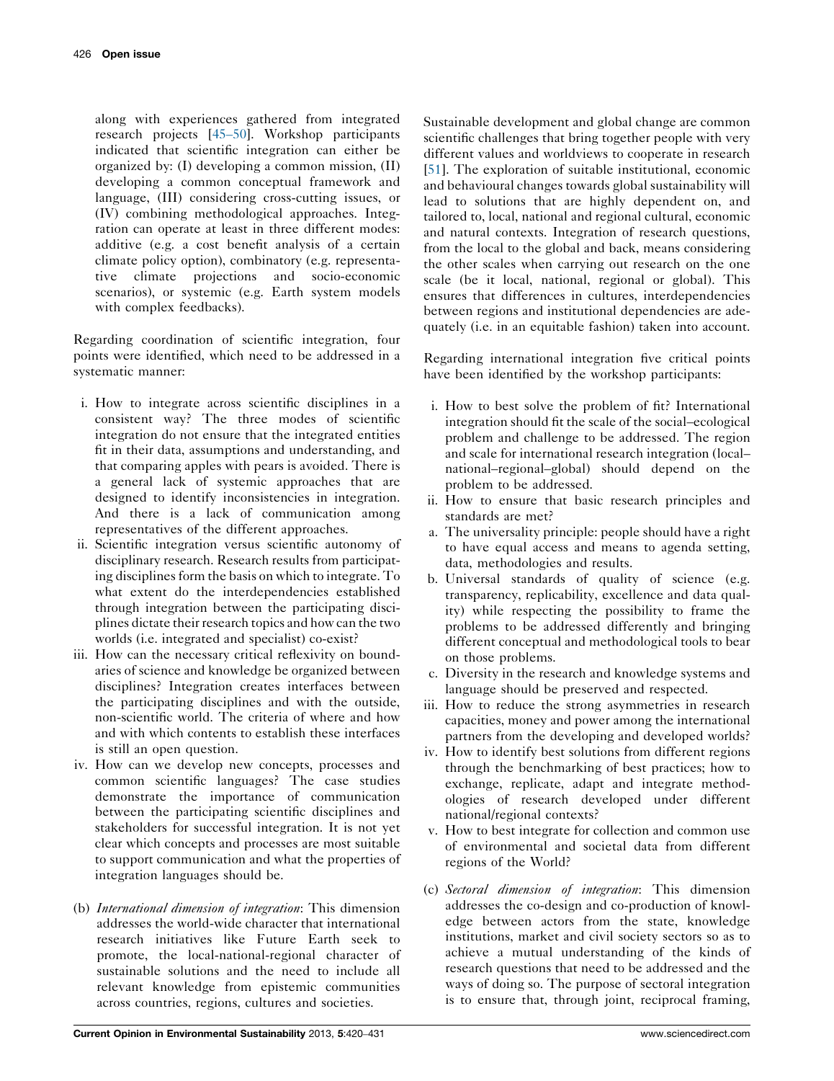along with experiences gathered from integrated research projects [\[45](#page-10-0)–50]. Workshop participants indicated that scientific integration can either be organized by: (I) developing a common mission, (II) developing a common conceptual framework and language, (III) considering cross-cutting issues, or (IV) combining methodological approaches. Integration can operate at least in three different modes: additive (e.g. a cost benefit analysis of a certain climate policy option), combinatory (e.g. representative climate projections and socio-economic scenarios), or systemic (e.g. Earth system models with complex feedbacks).

Regarding coordination of scientific integration, four points were identified, which need to be addressed in a systematic manner:

- i. How to integrate across scientific disciplines in a consistent way? The three modes of scientific integration do not ensure that the integrated entities fit in their data, assumptions and understanding, and that comparing apples with pears is avoided. There is a general lack of systemic approaches that are designed to identify inconsistencies in integration. And there is a lack of communication among representatives of the different approaches.
- ii. Scientific integration versus scientific autonomy of disciplinary research. Research results from participating disciplines form the basis on which to integrate. To what extent do the interdependencies established through integration between the participating disciplines dictate their research topics and how can the two worlds (i.e. integrated and specialist) co-exist?
- iii. How can the necessary critical reflexivity on boundaries of science and knowledge be organized between disciplines? Integration creates interfaces between the participating disciplines and with the outside, non-scientific world. The criteria of where and how and with which contents to establish these interfaces is still an open question.
- iv. How can we develop new concepts, processes and common scientific languages? The case studies demonstrate the importance of communication between the participating scientific disciplines and stakeholders for successful integration. It is not yet clear which concepts and processes are most suitable to support communication and what the properties of integration languages should be.
- (b) International dimension of integration: This dimension addresses the world-wide character that international research initiatives like Future Earth seek to promote, the local-national-regional character of sustainable solutions and the need to include all relevant knowledge from epistemic communities across countries, regions, cultures and societies.

Sustainable development and global change are common scientific challenges that bring together people with very different values and worldviews to cooperate in research [\[51](#page-11-0)]. The exploration of suitable institutional, economic and behavioural changes towards global sustainability will lead to solutions that are highly dependent on, and tailored to, local, national and regional cultural, economic and natural contexts. Integration of research questions, from the local to the global and back, means considering the other scales when carrying out research on the one scale (be it local, national, regional or global). This ensures that differences in cultures, interdependencies between regions and institutional dependencies are adequately (i.e. in an equitable fashion) taken into account.

Regarding international integration five critical points have been identified by the workshop participants:

- i. How to best solve the problem of fit? International integration should fit the scale of the social–ecological problem and challenge to be addressed. The region and scale for international research integration (local– national–regional–global) should depend on the problem to be addressed.
- ii. How to ensure that basic research principles and standards are met?
- a. The universality principle: people should have a right to have equal access and means to agenda setting, data, methodologies and results.
- b. Universal standards of quality of science (e.g. transparency, replicability, excellence and data quality) while respecting the possibility to frame the problems to be addressed differently and bringing different conceptual and methodological tools to bear on those problems.
- c. Diversity in the research and knowledge systems and language should be preserved and respected.
- iii. How to reduce the strong asymmetries in research capacities, money and power among the international partners from the developing and developed worlds?
- iv. How to identify best solutions from different regions through the benchmarking of best practices; how to exchange, replicate, adapt and integrate methodologies of research developed under different national/regional contexts?
- v. How to best integrate for collection and common use of environmental and societal data from different regions of the World?
- (c) Sectoral dimension of integration: This dimension addresses the co-design and co-production of knowledge between actors from the state, knowledge institutions, market and civil society sectors so as to achieve a mutual understanding of the kinds of research questions that need to be addressed and the ways of doing so. The purpose of sectoral integration is to ensure that, through joint, reciprocal framing,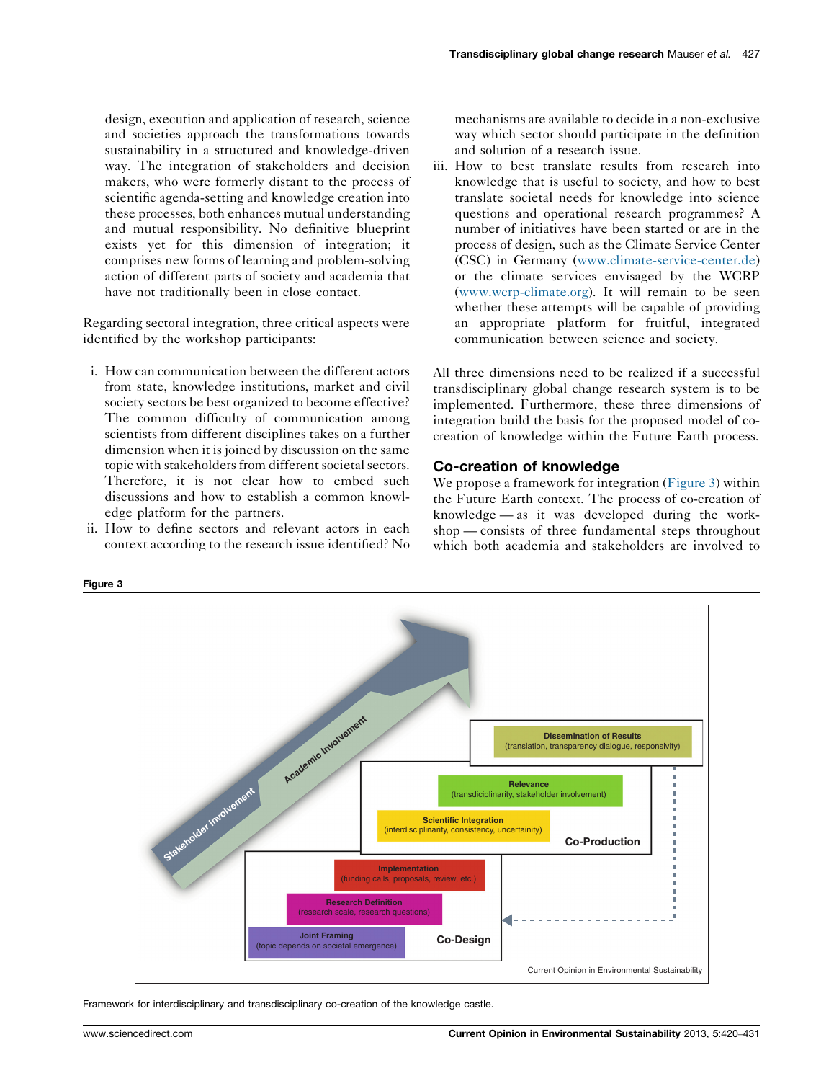<span id="page-7-0"></span>design, execution and application of research, science and societies approach the transformations towards sustainability in a structured and knowledge-driven way. The integration of stakeholders and decision makers, who were formerly distant to the process of scientific agenda-setting and knowledge creation into these processes, both enhances mutual understanding and mutual responsibility. No definitive blueprint exists yet for this dimension of integration; it comprises new forms of learning and problem-solving action of different parts of society and academia that have not traditionally been in close contact.

Regarding sectoral integration, three critical aspects were identified by the workshop participants:

- i. How can communication between the different actors from state, knowledge institutions, market and civil society sectors be best organized to become effective? The common difficulty of communication among scientists from different disciplines takes on a further dimension when it is joined by discussion on the same topic with stakeholders from different societal sectors. Therefore, it is not clear how to embed such discussions and how to establish a common knowledge platform for the partners.
- ii. How to define sectors and relevant actors in each context according to the research issue identified? No

mechanisms are available to decide in a non-exclusive way which sector should participate in the definition and solution of a research issue.

iii. How to best translate results from research into knowledge that is useful to society, and how to best translate societal needs for knowledge into science questions and operational research programmes? A number of initiatives have been started or are in the process of design, such as the Climate Service Center (CSC) in Germany [\(www.climate-service-center.de](http://www.climate-service-center.de/)) or the climate services envisaged by the WCRP [\(www.wcrp-climate.org](http://www.wcrp-climate.org/)). It will remain to be seen whether these attempts will be capable of providing an appropriate platform for fruitful, integrated communication between science and society.

All three dimensions need to be realized if a successful transdisciplinary global change research system is to be implemented. Furthermore, these three dimensions of integration build the basis for the proposed model of cocreation of knowledge within the Future Earth process.

#### Co-creation of knowledge

We propose a framework for integration (Figure 3) within the Future Earth context. The process of co-creation of knowledge — as it was developed during the workshop — consists of three fundamental steps throughout which both academia and stakeholders are involved to



Framework for interdisciplinary and transdisciplinary co-creation of the knowledge castle.

Figure 3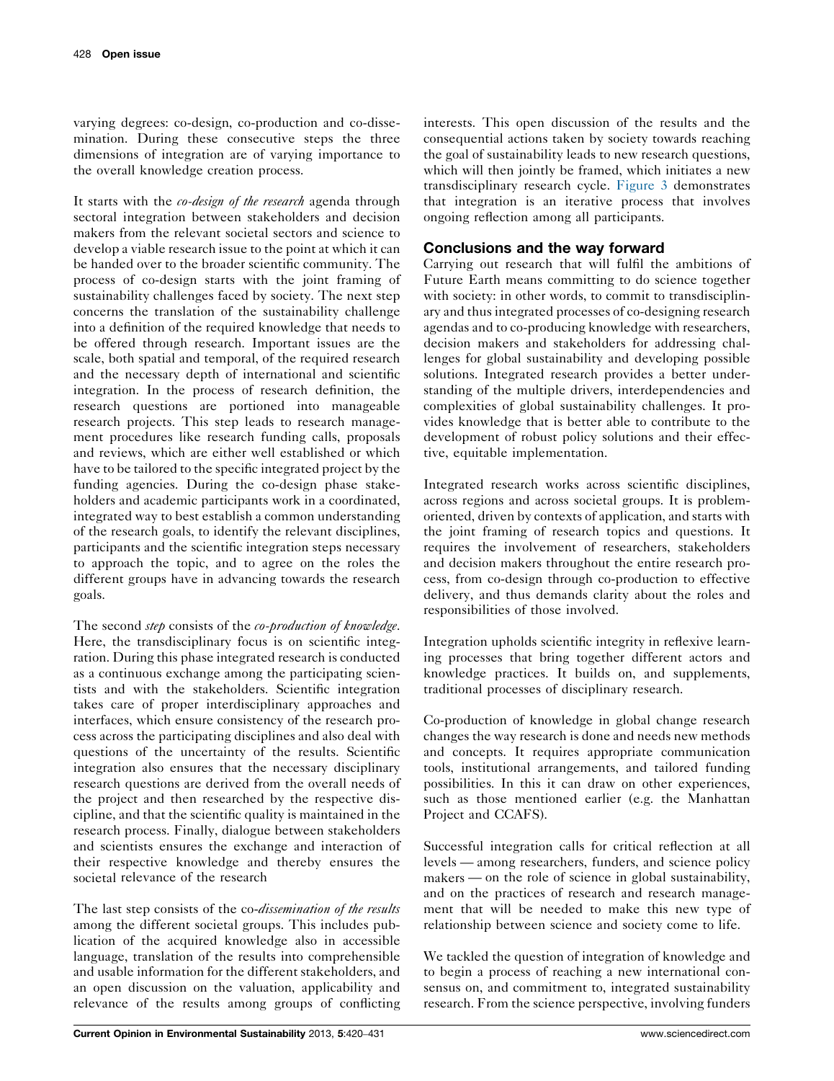varying degrees: co-design, co-production and co-dissemination. During these consecutive steps the three dimensions of integration are of varying importance to the overall knowledge creation process.

It starts with the *co-design of the research* agenda through sectoral integration between stakeholders and decision makers from the relevant societal sectors and science to develop a viable research issue to the point at which it can be handed over to the broader scientific community. The process of co-design starts with the joint framing of sustainability challenges faced by society. The next step concerns the translation of the sustainability challenge into a definition of the required knowledge that needs to be offered through research. Important issues are the scale, both spatial and temporal, of the required research and the necessary depth of international and scientific integration. In the process of research definition, the research questions are portioned into manageable research projects. This step leads to research management procedures like research funding calls, proposals and reviews, which are either well established or which have to be tailored to the specific integrated project by the funding agencies. During the co-design phase stakeholders and academic participants work in a coordinated, integrated way to best establish a common understanding of the research goals, to identify the relevant disciplines, participants and the scientific integration steps necessary to approach the topic, and to agree on the roles the different groups have in advancing towards the research goals.

The second *step* consists of the *co-production of knowledge*. Here, the transdisciplinary focus is on scientific integration. During this phase integrated research is conducted as a continuous exchange among the participating scientists and with the stakeholders. Scientific integration takes care of proper interdisciplinary approaches and interfaces, which ensure consistency of the research process across the participating disciplines and also deal with questions of the uncertainty of the results. Scientific integration also ensures that the necessary disciplinary research questions are derived from the overall needs of the project and then researched by the respective discipline, and that the scientific quality is maintained in the research process. Finally, dialogue between stakeholders and scientists ensures the exchange and interaction of their respective knowledge and thereby ensures the societal relevance of the research

The last step consists of the co-*dissemination of the results* among the different societal groups. This includes publication of the acquired knowledge also in accessible language, translation of the results into comprehensible and usable information for the different stakeholders, and an open discussion on the valuation, applicability and relevance of the results among groups of conflicting interests. This open discussion of the results and the consequential actions taken by society towards reaching the goal of sustainability leads to new research questions, which will then jointly be framed, which initiates a new transdisciplinary research cycle. [Figure](#page-7-0) 3 demonstrates that integration is an iterative process that involves ongoing reflection among all participants.

# Conclusions and the way forward

Carrying out research that will fulfil the ambitions of Future Earth means committing to do science together with society: in other words, to commit to transdisciplinary and thus integrated processes of co-designing research agendas and to co-producing knowledge with researchers, decision makers and stakeholders for addressing challenges for global sustainability and developing possible solutions. Integrated research provides a better understanding of the multiple drivers, interdependencies and complexities of global sustainability challenges. It provides knowledge that is better able to contribute to the development of robust policy solutions and their effective, equitable implementation.

Integrated research works across scientific disciplines, across regions and across societal groups. It is problemoriented, driven by contexts of application, and starts with the joint framing of research topics and questions. It requires the involvement of researchers, stakeholders and decision makers throughout the entire research process, from co-design through co-production to effective delivery, and thus demands clarity about the roles and responsibilities of those involved.

Integration upholds scientific integrity in reflexive learning processes that bring together different actors and knowledge practices. It builds on, and supplements, traditional processes of disciplinary research.

Co-production of knowledge in global change research changes the way research is done and needs new methods and concepts. It requires appropriate communication tools, institutional arrangements, and tailored funding possibilities. In this it can draw on other experiences, such as those mentioned earlier (e.g. the Manhattan Project and CCAFS).

Successful integration calls for critical reflection at all levels — among researchers, funders, and science policy makers — on the role of science in global sustainability, and on the practices of research and research management that will be needed to make this new type of relationship between science and society come to life.

We tackled the question of integration of knowledge and to begin a process of reaching a new international consensus on, and commitment to, integrated sustainability research. From the science perspective, involving funders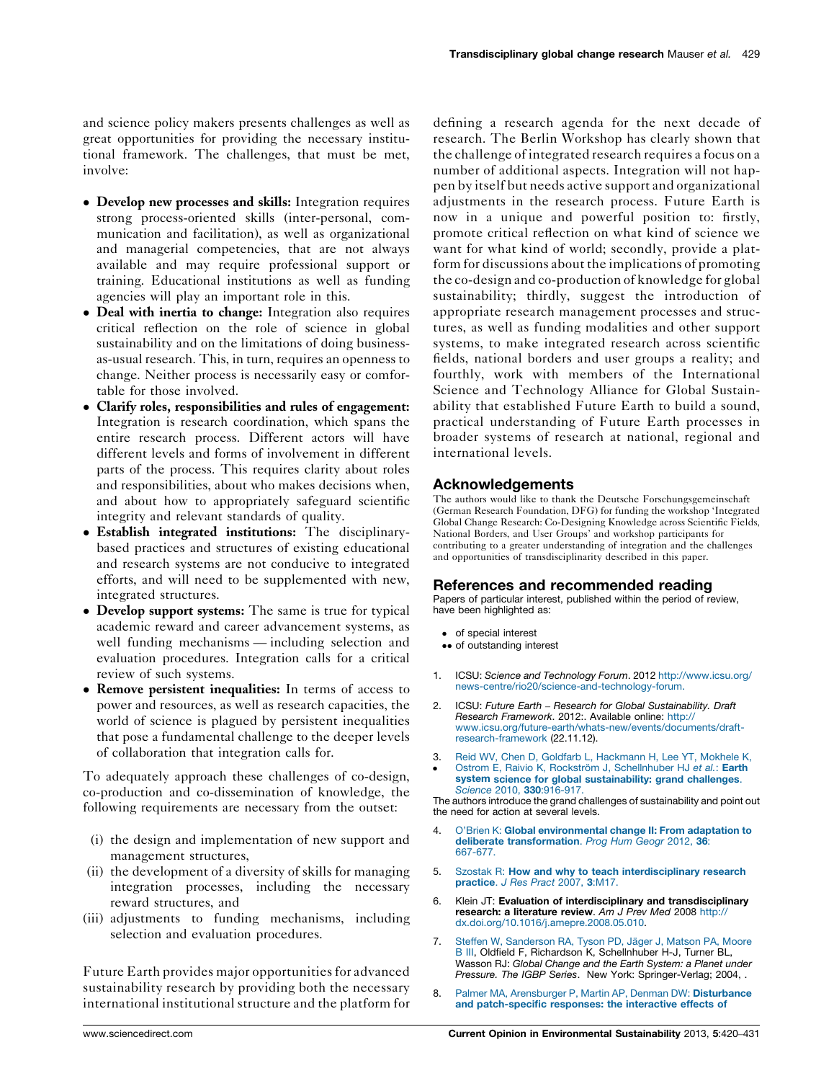<span id="page-9-0"></span>and science policy makers presents challenges as well as great opportunities for providing the necessary institutional framework. The challenges, that must be met, involve:

- Develop new processes and skills: Integration requires strong process-oriented skills (inter-personal, communication and facilitation), as well as organizational and managerial competencies, that are not always available and may require professional support or training. Educational institutions as well as funding agencies will play an important role in this.
- $\bullet$  Deal with inertia to change: Integration also requires critical reflection on the role of science in global sustainability and on the limitations of doing businessas-usual research. This, in turn, requires an openness to change. Neither process is necessarily easy or comfortable for those involved.
- Clarify roles, responsibilities and rules of engagement: Integration is research coordination, which spans the entire research process. Different actors will have different levels and forms of involvement in different parts of the process. This requires clarity about roles and responsibilities, about who makes decisions when, and about how to appropriately safeguard scientific integrity and relevant standards of quality.
- Establish integrated institutions: The disciplinarybased practices and structures of existing educational and research systems are not conducive to integrated efforts, and will need to be supplemented with new, integrated structures.
- Develop support systems: The same is true for typical academic reward and career advancement systems, as well funding mechanisms — including selection and evaluation procedures. Integration calls for a critical review of such systems.
- Remove persistent inequalities: In terms of access to power and resources, as well as research capacities, the world of science is plagued by persistent inequalities that pose a fundamental challenge to the deeper levels of collaboration that integration calls for.

To adequately approach these challenges of co-design, co-production and co-dissemination of knowledge, the following requirements are necessary from the outset:

- (i) the design and implementation of new support and management structures,
- (ii) the development of a diversity of skills for managing integration processes, including the necessary reward structures, and
- (iii) adjustments to funding mechanisms, including selection and evaluation procedures.

Future Earth provides major opportunities for advanced sustainability research by providing both the necessary international institutional structure and the platform for

defining a research agenda for the next decade of research. The Berlin Workshop has clearly shown that the challenge of integrated research requires a focus on a number of additional aspects. Integration will not happen by itself but needs active support and organizational adjustments in the research process. Future Earth is now in a unique and powerful position to: firstly, promote critical reflection on what kind of science we want for what kind of world; secondly, provide a platform for discussions about the implications of promoting the co-design and co-production of knowledge for global sustainability; thirdly, suggest the introduction of appropriate research management processes and structures, as well as funding modalities and other support systems, to make integrated research across scientific fields, national borders and user groups a reality; and fourthly, work with members of the International Science and Technology Alliance for Global Sustainability that established Future Earth to build a sound, practical understanding of Future Earth processes in broader systems of research at national, regional and international levels.

#### Acknowledgements

The authors would like to thank the Deutsche Forschungsgemeinschaft (German Research Foundation, DFG) for funding the workshop 'Integrated Global Change Research: Co-Designing Knowledge across Scientific Fields, National Borders, and User Groups' and workshop participants for contributing to a greater understanding of integration and the challenges and opportunities of transdisciplinarity described in this paper.

#### References and recommended reading

Papers of particular interest, published within the period of review, have been highlighted as:

- of special interest
- •• of outstanding interest
- 1. ICSU: Science and Technology Forum. 2012 [http://www.icsu.org/](http://www.icsu.org/news-centre/rio20/science-and-technology-forum) [news-centre/rio20/science-and-technology-forum](http://www.icsu.org/news-centre/rio20/science-and-technology-forum).
- 2. ICSU: Future Earth Research for Global Sustainability. Draft Research Framework. 2012:. Available online: [http://](http://www.icsu.org/future-earth/whats-new/events/documents/draft-research-framework) [www.icsu.org/future-earth/whats-new/events/documents/draft](http://www.icsu.org/future-earth/whats-new/events/documents/draft-research-framework)[research-framework](http://www.icsu.org/future-earth/whats-new/events/documents/draft-research-framework) (22.11.12).
- 3. Reid WV, Chen D, Goldfarb L, [Hackmann](http://refhub.elsevier.com/S1877-3435(13)00080-8/sbref0015) H, Lee YT, Mokhele K,
- -Ostrom E, Raivio K, Rockström J, [Schellnhuber](http://refhub.elsevier.com/S1877-3435(13)00080-8/sbref0015) HJ et al.: Earth system science for global [sustainability:](http://refhub.elsevier.com/S1877-3435(13)00080-8/sbref0015) grand challenges.<br>Science 2010, 330[:916-917.](http://refhub.elsevier.com/S1877-3435(13)00080-8/sbref0015)

The authors introduce the grand challenges of sustainability and point out the need for action at several levels.

- 4. O'Brien K: Global [environmental](http://refhub.elsevier.com/S1877-3435(13)00080-8/sbref0020) change II: From adaptation to deliberate [transformation](http://refhub.elsevier.com/S1877-3435(13)00080-8/sbref0020). Prog Hum Geogr 2012, 36: [667-677.](http://refhub.elsevier.com/S1877-3435(13)00080-8/sbref0020)
- 5. Szostak R: How and why to teach [interdisciplinary](http://refhub.elsevier.com/S1877-3435(13)00080-8/sbref0025) research [practice](http://refhub.elsevier.com/S1877-3435(13)00080-8/sbref0025). J Res Pract 2007, 3:M17.
- 6. Klein JT: Evaluation of interdisciplinary and transdisciplinary research: a literature review. Am J Prev Med 2008 [http://](http://dx.doi.org/10.1016/j.amepre.2008.05.010) [dx.doi.org/10.1016/j.amepre.2008.05.010](http://dx.doi.org/10.1016/j.amepre.2008.05.010).
- 7. Steffen W, [Sanderson](http://refhub.elsevier.com/S1877-3435(13)00080-8/sbref0035) RA, Tyson PD, Jäger J, Matson PA, Moore B III, Oldfield F, Richardson K, [Schellnhuber](http://refhub.elsevier.com/S1877-3435(13)00080-8/sbref0035) H-J, Turner BL, Wasson RJ: Global Change and the Earth [System:](http://refhub.elsevier.com/S1877-3435(13)00080-8/sbref0035) a Planet under Pressure. The IGBP Series. New York: [Springer-Verlag;](http://refhub.elsevier.com/S1877-3435(13)00080-8/sbref0035) 2004,
- 8. Palmer MA, Arensburger P, Martin AP, Denman DW: [Disturbance](http://refhub.elsevier.com/S1877-3435(13)00080-8/sbref0040) and [patch-specific](http://refhub.elsevier.com/S1877-3435(13)00080-8/sbref0040) responses: the interactive effects of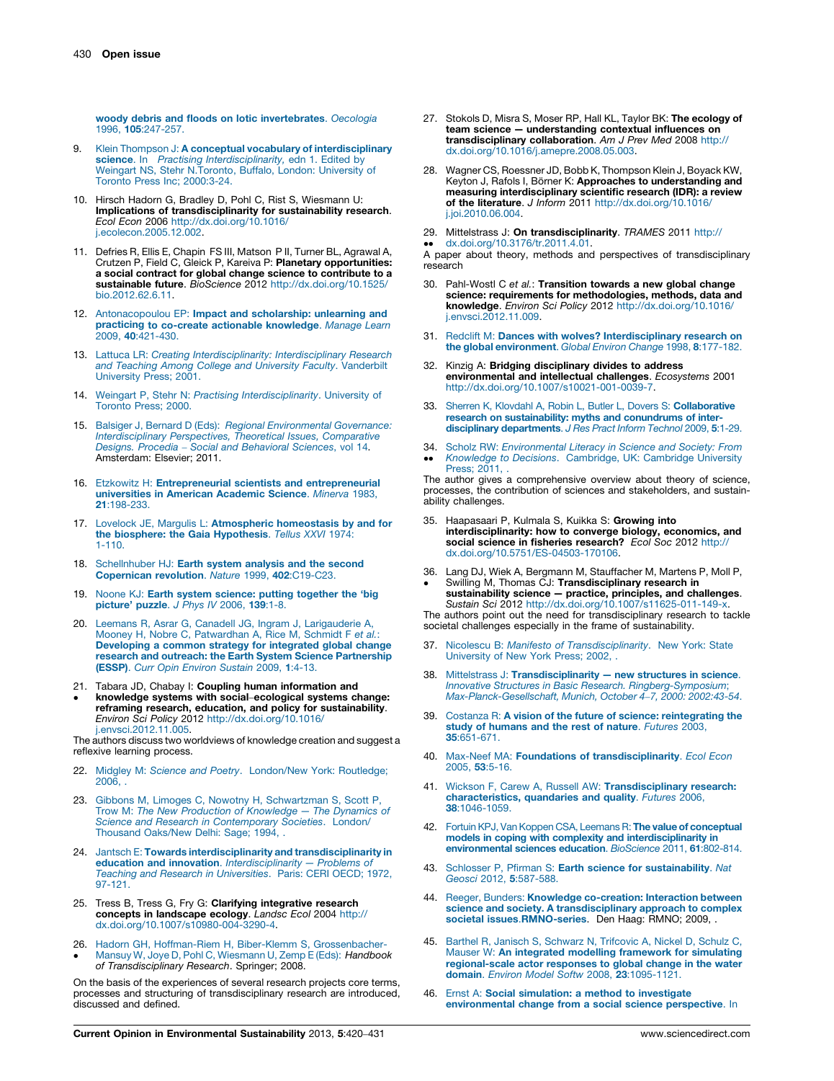<span id="page-10-0"></span>woody debris and floods on lotic [invertebrates](http://refhub.elsevier.com/S1877-3435(13)00080-8/sbref0040). Oecologia 1996, 105[:247-257.](http://refhub.elsevier.com/S1877-3435(13)00080-8/sbref0040)

- 9. Klein Thompson J: A conceptual vocabulary of [interdisciplinary](http://refhub.elsevier.com/S1877-3435(13)00080-8/sbref0045) **science**. In *Practising [Interdisciplinarity,](http://refhub.elsevier.com/S1877-3435(13)00080-8/sbref0045)* edn 1. Edited by<br>Weingart NS, Stehr [N.Toronto,](http://refhub.elsevier.com/S1877-3435(13)00080-8/sbref0045) Buffalo, London: University of [Toronto](http://refhub.elsevier.com/S1877-3435(13)00080-8/sbref0045) Press Inc; 2000:[3-24.](http://refhub.elsevier.com/S1877-3435(13)00080-8/sbref0045)
- 10. Hirsch Hadorn G, Bradley D, Pohl C, Rist S, Wiesmann U: Implications of transdisciplinarity for sustainability research. Ecol Econ 2006 [http://dx.doi.org/10.1016/](http://dx.doi.org/10.1016/j.ecolecon.2005.12.002) [j.ecolecon.2005.12.002](http://dx.doi.org/10.1016/j.ecolecon.2005.12.002).
- 11. Defries R, Ellis E, Chapin FS III, Matson P II, Turner BL, Agrawal A, Crutzen P, Field C, Gleick P, Kareiva P: Planetary opportunities: a social contract for global change science to contribute to a sustainable future. BioScience 2012 [http://dx.doi.org/10.1525/](http://dx.doi.org/10.1525/bio.2012.62.6.11) [bio.2012.62.6.11](http://dx.doi.org/10.1525/bio.2012.62.6.11).
- 12. [Antonacopoulou](http://refhub.elsevier.com/S1877-3435(13)00080-8/sbref0060) EP: Impact and scholarship: unlearning and practicing to co-create actionable [knowledge](http://refhub.elsevier.com/S1877-3435(13)00080-8/sbref0060). Manage Learn 2009, 40[:421-430.](http://refhub.elsevier.com/S1877-3435(13)00080-8/sbref0060)
- 13. Lattuca LR: Creating [Interdisciplinarity:](http://refhub.elsevier.com/S1877-3435(13)00080-8/sbref0065) Interdisciplinary Research and Teaching Among College and University Faculty. [Vanderbilt](http://refhub.elsevier.com/S1877-3435(13)00080-8/sbref0065) [University](http://refhub.elsevier.com/S1877-3435(13)00080-8/sbref0065) Press; 2001[.](http://refhub.elsevier.com/S1877-3435(13)00080-8/sbref0065)
- 14. Weingart P, Stehr N: Practising [Interdisciplinarity](http://refhub.elsevier.com/S1877-3435(13)00080-8/sbref0070). University of [Toronto](http://refhub.elsevier.com/S1877-3435(13)00080-8/sbref0070) Press; 2000[.](http://refhub.elsevier.com/S1877-3435(13)00080-8/sbref0070)
- 15. Balsiger J, Bernard D (Eds): Regional [Environmental](http://refhub.elsevier.com/S1877-3435(13)00080-8/sbref0075) Governance: [Interdisciplinary](http://refhub.elsevier.com/S1877-3435(13)00080-8/sbref0075) Perspectives, Theoretical Issues, Comparative Designs. Procedia – Social and [Behavioral](http://refhub.elsevier.com/S1877-3435(13)00080-8/sbref0075) Sciences, vol 14. Amsterdam: Elsevier; 2011.
- 16. Etzkowitz H: [Entrepreneurial](http://refhub.elsevier.com/S1877-3435(13)00080-8/sbref0080) scientists and entrepreneurial [universities](http://refhub.elsevier.com/S1877-3435(13)00080-8/sbref0080) in American Academic Science. Minerva 1983, 21[:198-233.](http://refhub.elsevier.com/S1877-3435(13)00080-8/sbref0080)
- 17. Lovelock JE, Margulis L: [Atmospheric](http://refhub.elsevier.com/S1877-3435(13)00080-8/sbref0085) homeostasis by and for the biosphere: the Gaia [Hypothesis](http://refhub.elsevier.com/S1877-3435(13)00080-8/sbref0085). Tellus XXVI 1974: [1-110.](http://refhub.elsevier.com/S1877-3435(13)00080-8/sbref0085)
- 18. [Schellnhuber](http://refhub.elsevier.com/S1877-3435(13)00080-8/sbref0090) HJ: Earth system analysis and the second [Copernican](http://refhub.elsevier.com/S1877-3435(13)00080-8/sbref0090) revolution. Nature 1999, 402:C19-C23.
- 19. Noone KJ: Earth system science: putting [together](http://refhub.elsevier.com/S1877-3435(13)00080-8/sbref0095) the 'big [picture'](http://refhub.elsevier.com/S1877-3435(13)00080-8/sbref0095) puzzle. J Phys IV 2006, 139:1-8.
- 20. Leemans R, Asrar G, Canadell JG, Ingram J, [Larigauderie](http://refhub.elsevier.com/S1877-3435(13)00080-8/sbref0100) A, Mooney H, Nobre C, [Patwardhan](http://refhub.elsevier.com/S1877-3435(13)00080-8/sbref0100) A, Rice M, Schmidt F et al.: [Developing](http://refhub.elsevier.com/S1877-3435(13)00080-8/sbref0100) a common strategy for integrated global change research and outreach: the Earth System Science [Partnership](http://refhub.elsevier.com/S1877-3435(13)00080-8/sbref0100)<br>**(ESSP)**. *Curr Opin [Environ](http://refhub.elsevier.com/S1877-3435(13)00080-8/sbref0100) Sustain 2009, 1:4-13*.
- 21. Tabara JD, Chabay I: Coupling human information and
- $\bullet$ knowledge systems with social–ecological systems change: reframing research, education, and policy for sustainability. Environ Sci Policy 2012 [http://dx.doi.org/10.1016/](http://dx.doi.org/10.1016/j.envsci.2012.11.005) [j.envsci.2012.11.005.](http://dx.doi.org/10.1016/j.envsci.2012.11.005)

The authors discuss two worldviews of knowledge creation and suggest a reflexive learning process.

- 22. Midgley M: Science and Poetry. [London/New](http://refhub.elsevier.com/S1877-3435(13)00080-8/sbref0110) York: Routledge; [2006,](http://refhub.elsevier.com/S1877-3435(13)00080-8/sbref0110) .
- 23. Gibbons M, Limoges C, Nowotny H, [Schwartzman](http://refhub.elsevier.com/S1877-3435(13)00080-8/sbref0115) S, Scott P, Trow M: The New Production of [Knowledge](http://refhub.elsevier.com/S1877-3435(13)00080-8/sbref0115) The Dynamics of Science and Research in [Contemporary](http://refhub.elsevier.com/S1877-3435(13)00080-8/sbref0115) Societies. London/ Thousand [Oaks/New](http://refhub.elsevier.com/S1877-3435(13)00080-8/sbref0115) Delhi: Sage; 1994, .
- 24. Jantsch E: Towards interdisciplinarity and [transdisciplinarity](http://refhub.elsevier.com/S1877-3435(13)00080-8/sbref0120) in **education and innovation**. [Interdisciplinarity](http://refhub.elsevier.com/S1877-3435(13)00080-8/sbref0120) — Problems of<br>Teaching and Research in [Universities](http://refhub.elsevier.com/S1877-3435(13)00080-8/sbref0120). Paris: CERI OECD; 1972, [97-121.](http://refhub.elsevier.com/S1877-3435(13)00080-8/sbref0120)
- 25. Tress B, Tress G, Fry G: Clarifying integrative research concepts in landscape ecology. Landsc Ecol 2004 [http://](http://dx.doi.org/10.1007/s10980-004-3290-4) [dx.doi.org/10.1007/s10980-004-3290-4](http://dx.doi.org/10.1007/s10980-004-3290-4).
- 26. Hadorn GH, Hoffman-Riem H, Biber-Klemm S, [Grossenbacher-](http://refhub.elsevier.com/S1877-3435(13)00080-8/sbref0130) $\bullet$ Mansuy W, Joye D, Pohl C, [Wiesmann](http://refhub.elsevier.com/S1877-3435(13)00080-8/sbref0130) U, Zemp E (Eds): Handbook of [Transdisciplinary](http://refhub.elsevier.com/S1877-3435(13)00080-8/sbref0130) Research. Springer; 2008.

On the basis of the experiences of several research projects core terms, processes and structuring of transdisciplinary research are introduced, discussed and defined.

- 27. Stokols D, Misra S, Moser RP, Hall KL, Taylor BK: The ecology of team science — understanding contextual influences on transdisciplinary collaboration. Am J Prev Med 2008 [http://](http://dx.doi.org/10.1016/j.amepre.2008.05.003) [dx.doi.org/10.1016/j.amepre.2008.05.003](http://dx.doi.org/10.1016/j.amepre.2008.05.003).
- 28. Wagner CS, Roessner JD, Bobb K, Thompson Klein J, Boyack KW, Keyton J, Rafols I, Börner K: Approaches to understanding and measuring interdisciplinary scientific research (IDR): a review<br>of the literature. J Inform 2011 [http://dx.doi.org/10.1016/](http://dx.doi.org/10.1016/j.joi.2010.06.004) [j.joi.2010.06.004](http://dx.doi.org/10.1016/j.joi.2010.06.004).
- 29. Mittelstrass J: On transdisciplinarity. TRAMES 2011 [http://](http://dx.doi.org/10.3176/tr.2011.4.01)
- -[dx.doi.org/10.3176/tr.2011.4.01](http://dx.doi.org/10.3176/tr.2011.4.01).

A paper about theory, methods and perspectives of transdisciplinary research

- 30. Pahl-Wostl C et al.: Transition towards a new global change science: requirements for methodologies, methods, data and knowledge. Environ Sci Policy 2012 [http://dx.doi.org/10.1016/](http://dx.doi.org/10.1016/j.envsci.2012.11.009) [j.envsci.2012.11.009](http://dx.doi.org/10.1016/j.envsci.2012.11.009).
- 31. Redclift M: Dances with wolves? [Interdisciplinary](http://refhub.elsevier.com/S1877-3435(13)00080-8/sbref0155) research on the global [environment](http://refhub.elsevier.com/S1877-3435(13)00080-8/sbref0155). Global Environ Change 1998, 8:177-182.
- 32. Kinzig A: Bridging disciplinary divides to address environmental and intellectual challenges. Ecosystems 2001 [http://dx.doi.org/10.1007/s10021-001-0039-7.](http://dx.doi.org/10.1007/s10021-001-0039-7)
- 33. Sherren K, Klovdahl A, Robin L, Butler L, Dovers S: [Collaborative](http://refhub.elsevier.com/S1877-3435(13)00080-8/sbref0165) research on [sustainability:](http://refhub.elsevier.com/S1877-3435(13)00080-8/sbref0165) myths and conundrums of interdisciplinary [departments](http://refhub.elsevier.com/S1877-3435(13)00080-8/sbref0165). J Res Pract Inform Technol 2009, 5:1-29.
- 34. Scholz RW: [Environmental](http://refhub.elsevier.com/S1877-3435(13)00080-8/sbref0170) Literacy in Science and Society: From  $\bullet \bullet$ Knowledge to Decisions. [Cambridge,](http://refhub.elsevier.com/S1877-3435(13)00080-8/sbref0170) UK: Cambridge University Press: 2011.

The author gives a comprehensive overview about theory of science, processes, the contribution of sciences and stakeholders, and sustainability challenges.

- 35. Haapasaari P, Kulmala S, Kuikka S: Growing into interdisciplinarity: how to converge biology, economics, and social science in fisheries research? Ecol Soc 2012 [http://](http://dx.doi.org/10.5751/ES-04503-170106) [dx.doi.org/10.5751/ES-04503-170106.](http://dx.doi.org/10.5751/ES-04503-170106)
- 36. Lang DJ, Wiek A, Bergmann M, Stauffacher M, Martens P, Moll P, -Swilling M, Thomas CJ: Transdisciplinary research in
- sustainability science practice, principles, and challenges. Sustain Sci 2012 <http://dx.doi.org/10.1007/s11625-011-149-x>. The authors point out the need for transdisciplinary research to tackle

societal challenges especially in the frame of sustainability.

- 37. Nicolescu B: Manifesto of [Transdisciplinarity](http://refhub.elsevier.com/S1877-3435(13)00080-8/sbref0185). New York: State [University](http://refhub.elsevier.com/S1877-3435(13)00080-8/sbref0185) of New York Press; 2002, .
- 38. Mittelstrass J: [Transdisciplinarity](http://refhub.elsevier.com/S1877-3435(13)00080-8/sbref0190) new structures in science.<br>Innovative Structures in Basic Research. [Ringberg-Symposium](http://refhub.elsevier.com/S1877-3435(13)00080-8/sbref0190); [Max-Planck-Gesellschaft,](http://refhub.elsevier.com/S1877-3435(13)00080-8/sbref0190) Munich, October 4–7, 2000: 2002:43-54.
- 39. Costanza R: A vision of the future of science: [reintegrating](http://refhub.elsevier.com/S1877-3435(13)00080-8/sbref0195) the study of [humans](http://refhub.elsevier.com/S1877-3435(13)00080-8/sbref0195) and the rest of nature. Futures 2003, 35[:651-671.](http://refhub.elsevier.com/S1877-3435(13)00080-8/sbref0195)
- 40. Max-Neef MA: Foundations of [transdisciplinarity](http://refhub.elsevier.com/S1877-3435(13)00080-8/sbref0200). Ecol Econ 2005, 53[:5-16.](http://refhub.elsevier.com/S1877-3435(13)00080-8/sbref0200)
- 41. Wickson F, Carew A, Russell AW: [Transdisciplinary](http://refhub.elsevier.com/S1877-3435(13)00080-8/sbref0205) research:<br>[characteristics,](http://refhub.elsevier.com/S1877-3435(13)00080-8/sbref0205) quandaries and quality. Futures 2006, 38[:1046-1059.](http://refhub.elsevier.com/S1877-3435(13)00080-8/sbref0205)
- 42. Fortuin KPJ, Van Koppen CSA, Leemans R: The value of conceptual models in coping with complexity and [interdisciplinarity](http://refhub.elsevier.com/S1877-3435(13)00080-8/sbref0210) in [environmental](http://refhub.elsevier.com/S1877-3435(13)00080-8/sbref0210) sciences education. BioScience 2011, 61:802-814.
- 43. Schlosser P, Pfirman S: Earth science for [sustainability](http://refhub.elsevier.com/S1877-3435(13)00080-8/sbref0215). Nat Geosci 2012, 5[:587-588.](http://refhub.elsevier.com/S1877-3435(13)00080-8/sbref0215)
- 44. Reeger, Bunders: Knowledge [co-creation:](http://refhub.elsevier.com/S1877-3435(13)00080-8/sbref0220) Interaction between science and society. A [transdisciplinary](http://refhub.elsevier.com/S1877-3435(13)00080-8/sbref0220) approach to complex societal issues.[RMNO-series](http://refhub.elsevier.com/S1877-3435(13)00080-8/sbref0220). Den Haag: RMNO; 2009, .
- 45. Barthel R, Janisch S, [Schwarz](http://refhub.elsevier.com/S1877-3435(13)00080-8/sbref0225) N, Trifcovic A, Nickel D, Schulz C, Mauser W: An integrated modelling [framework](http://refhub.elsevier.com/S1877-3435(13)00080-8/sbref0225) for simulating [regional-scale](http://refhub.elsevier.com/S1877-3435(13)00080-8/sbref0225) actor responses to global change in the water domain. Environ Model Softw 2008, 23[:1095-1121.](http://refhub.elsevier.com/S1877-3435(13)00080-8/sbref0225)
- 46. Ernst A: Social [simulation:](http://refhub.elsevier.com/S1877-3435(13)00080-8/sbref0230) a method to investigate [environmental](http://refhub.elsevier.com/S1877-3435(13)00080-8/sbref0230) change from a social science perspective. In